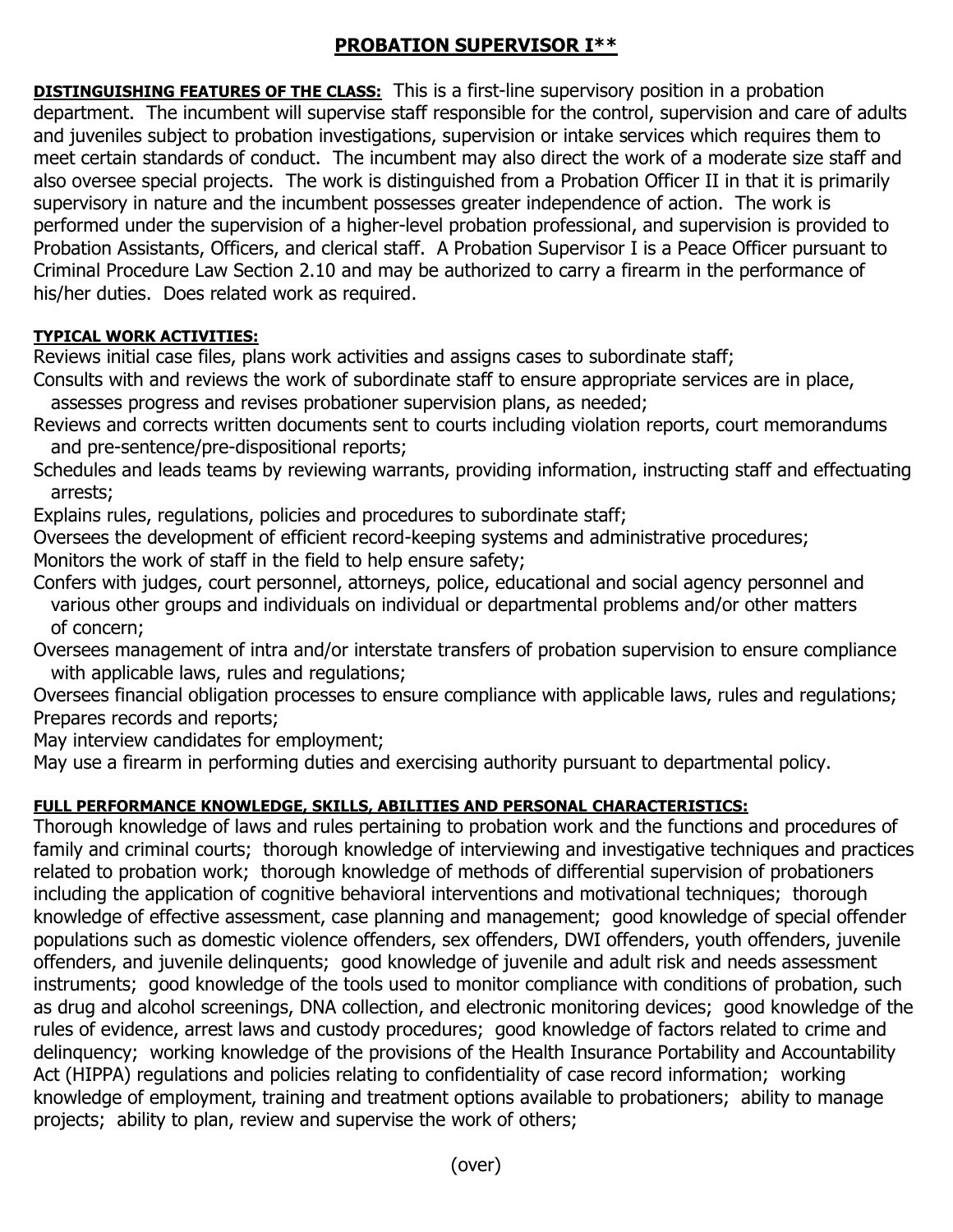## **PROBATION SUPERVISOR I\*\***

**DISTINGUISHING FEATURES OF THE CLASS:** This is a first-line supervisory position in a probation department. The incumbent will supervise staff responsible for the control, supervision and care of adults and juveniles subject to probation investigations, supervision or intake services which requires them to meet certain standards of conduct. The incumbent may also direct the work of a moderate size staff and also oversee special projects. The work is distinguished from a Probation Officer II in that it is primarily supervisory in nature and the incumbent possesses greater independence of action. The work is performed under the supervision of a higher-level probation professional, and supervision is provided to Probation Assistants, Officers, and clerical staff. A Probation Supervisor I is a Peace Officer pursuant to Criminal Procedure Law Section 2.10 and may be authorized to carry a firearm in the performance of his/her duties. Does related work as required.

## **TYPICAL WORK ACTIVITIES:**

Reviews initial case files, plans work activities and assigns cases to subordinate staff;

Consults with and reviews the work of subordinate staff to ensure appropriate services are in place, assesses progress and revises probationer supervision plans, as needed;

- Reviews and corrects written documents sent to courts including violation reports, court memorandums and pre-sentence/pre-dispositional reports;
- Schedules and leads teams by reviewing warrants, providing information, instructing staff and effectuating arrests;

Explains rules, regulations, policies and procedures to subordinate staff;

Oversees the development of efficient record-keeping systems and administrative procedures; Monitors the work of staff in the field to help ensure safety;

Confers with judges, court personnel, attorneys, police, educational and social agency personnel and various other groups and individuals on individual or departmental problems and/or other matters of concern;

Oversees management of intra and/or interstate transfers of probation supervision to ensure compliance with applicable laws, rules and regulations;

Oversees financial obligation processes to ensure compliance with applicable laws, rules and regulations; Prepares records and reports;

May interview candidates for employment;

May use a firearm in performing duties and exercising authority pursuant to departmental policy.

## **FULL PERFORMANCE KNOWLEDGE, SKILLS, ABILITIES AND PERSONAL CHARACTERISTICS:**

Thorough knowledge of laws and rules pertaining to probation work and the functions and procedures of family and criminal courts; thorough knowledge of interviewing and investigative techniques and practices related to probation work; thorough knowledge of methods of differential supervision of probationers including the application of cognitive behavioral interventions and motivational techniques; thorough knowledge of effective assessment, case planning and management; good knowledge of special offender populations such as domestic violence offenders, sex offenders, DWI offenders, youth offenders, juvenile offenders, and juvenile delinquents; good knowledge of juvenile and adult risk and needs assessment instruments; good knowledge of the tools used to monitor compliance with conditions of probation, such as drug and alcohol screenings, DNA collection, and electronic monitoring devices; good knowledge of the rules of evidence, arrest laws and custody procedures; good knowledge of factors related to crime and delinquency; working knowledge of the provisions of the Health Insurance Portability and Accountability Act (HIPPA) regulations and policies relating to confidentiality of case record information; working knowledge of employment, training and treatment options available to probationers; ability to manage projects; ability to plan, review and supervise the work of others;